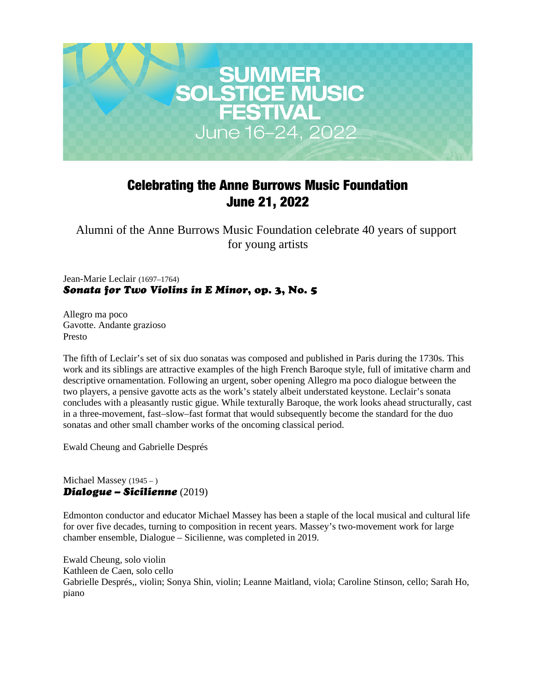

# Celebrating the Anne Burrows Music Foundation June 21, 2022

Alumni of the Anne Burrows Music Foundation celebrate 40 years of support for young artists

Jean-Marie Leclair (1697–1764) *Sonata for Two Violins in E Minor*, op. 3, No. 5

Allegro ma poco Gavotte. Andante grazioso Presto

The fifth of Leclair's set of six duo sonatas was composed and published in Paris during the 1730s. This work and its siblings are attractive examples of the high French Baroque style, full of imitative charm and descriptive ornamentation. Following an urgent, sober opening Allegro ma poco dialogue between the two players, a pensive gavotte acts as the work's stately albeit understated keystone. Leclair's sonata concludes with a pleasantly rustic gigue. While texturally Baroque, the work looks ahead structurally, cast in a three-movement, fast–slow–fast format that would subsequently become the standard for the duo sonatas and other small chamber works of the oncoming classical period.

Ewald Cheung and Gabrielle Després

#### Michael Massey (1945 – ) *Dialogue – Sicilienne* (2019)

Edmonton conductor and educator Michael Massey has been a staple of the local musical and cultural life for over five decades, turning to composition in recent years. Massey's two-movement work for large chamber ensemble, Dialogue – Sicilienne, was completed in 2019.

Ewald Cheung, solo violin Kathleen de Caen, solo cello Gabrielle Després,, violin; Sonya Shin, violin; Leanne Maitland, viola; Caroline Stinson, cello; Sarah Ho, piano